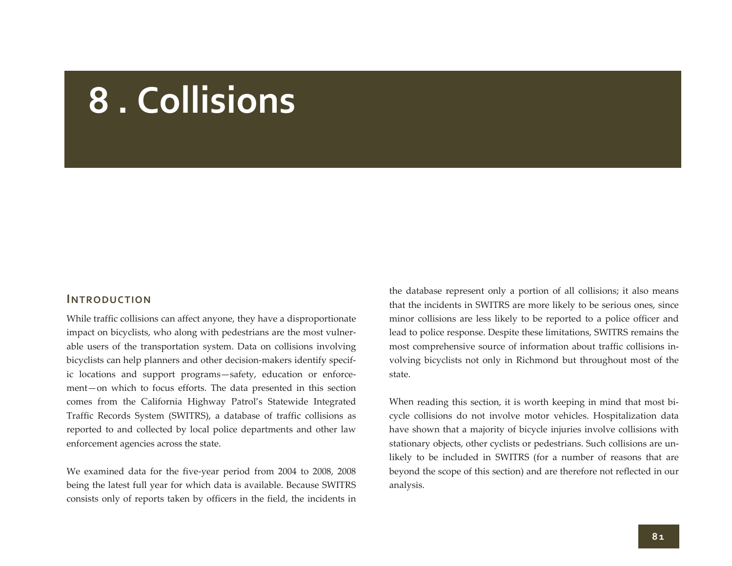# **8 . Collisions**

## **INTRODUCTION**

While traffic collisions can affect anyone, they have <sup>a</sup> disproportionate impact on bicyclists, who along with pedestrians are the most vulnerable users of the transportation system. Data on collisions involving bicyclists can help planners and other decision-makers identify specific locations and suppor<sup>t</sup> programs—safety, education or enforce‐ ment—on which to focus efforts. The data presented in this section comes from the California Highway Patrol's Statewide Integrated Traffic Records System (SWITRS), <sup>a</sup> database of traffic collisions as reported to and collected by local police departments and other law enforcement agencies across the state.

We examined data for the five‐year period from 2004 to 2008, 2008 being the latest full year for which data is available. Because SWITRS consists only of reports taken by officers in the field, the incidents in

the database represen<sup>t</sup> only <sup>a</sup> portion of all collisions; it also means that the incidents in SWITRS are more likely to be serious ones, since minor collisions are less likely to be reported to <sup>a</sup> police officer and lead to police response. Despite these limitations, SWITRS remains the most comprehensive source of information about traffic collisions in‐ volving bicyclists not only in Richmond but throughout most of the state.

When reading this section, it is worth keeping in mind that most bi‐ cycle collisions do not involve motor vehicles. Hospitalization data have shown that <sup>a</sup> majority of bicycle injuries involve collisions with stationary objects, other cyclists or pedestrians. Such collisions are un‐ likely to be included in SWITRS (for <sup>a</sup> number of reasons that are beyond the scope of this section) and are therefore not reflected in our analysis.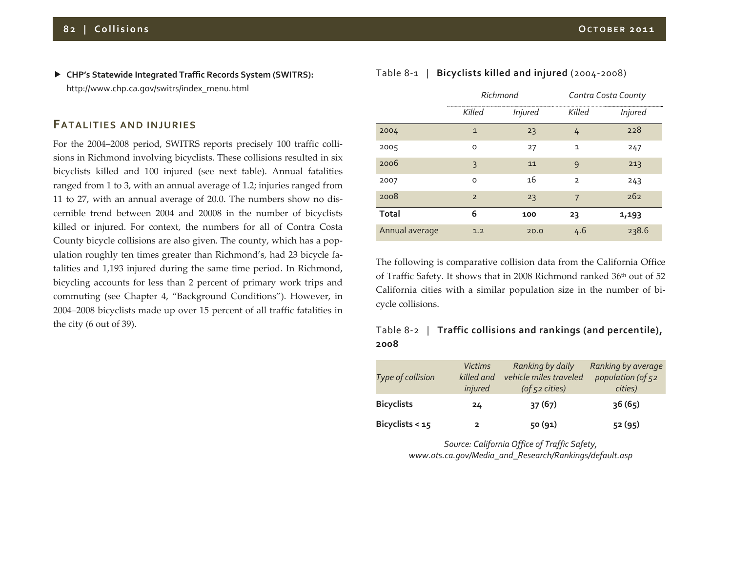**CHP's Statewide Integrated Traffic Records System (SWITRS):** http://www.chp.ca.gov/switrs/index\_menu.html

#### **FATALITIES AND INJURIES**

For the 2004–2008 period, SWITRS reports precisely 100 traffic colli‐ sions in Richmond involving bicyclists. These collisions resulted in six bicyclists killed and 100 injured (see next table). Annual fatalities ranged from <sup>1</sup> to 3, with an annual average of 1.2; injuries ranged from 11 to 27, with an annual average of 20.0. The numbers show no dis‐ cernible trend between 2004 and 20008 in the number of bicyclists killed or injured. For context, the numbers for all of Contra Costa County bicycle collisions are also given. The county, which has <sup>a</sup> pop‐ ulation roughly ten times greater than Richmond's, had 23 bicycle fa‐ talities and 1,193 injured during the same time period. In Richmond, bicycling accounts for less than <sup>2</sup> percen<sup>t</sup> of primary work trips and commuting (see Chapter 4, "Background Conditions"). However, in 2004‒2008 bicyclists made up over 15 percen<sup>t</sup> of all traffic fatalities in the city (6 out of 39).

|                | Richmond       |                |                | Contra Costa County |
|----------------|----------------|----------------|----------------|---------------------|
|                | Killed         | <b>Injured</b> | Killed         | <b>Injured</b>      |
| 2004           | $\mathbf{1}$   | 23             | 4              | 228                 |
| 2005           | O              | 27             | $\mathbf{1}$   | 247                 |
| 2006           | 3              | 11             | 9              | 213                 |
| 2007           | $\Omega$       | 16             | $\overline{2}$ | 243                 |
| 2008           | $\overline{2}$ | 23             | 7              | 262                 |
| <b>Total</b>   | 6              | 100            | 23             | 1,193               |
| Annual average | 1.2            | 20.0           | 4.6            | 238.6               |

The following is comparative collision data from the California Office of Traffic Safety. It shows that in 2008 Richmond ranked 36th out of 52 California cities with <sup>a</sup> similar population size in the number of bi‐ cycle collisions.

# Table 8‐<sup>2</sup> | **Traffic collisions and rankings (and percentile), 2008**

| Type of collision | <b>Victims</b><br>killed and<br>injured | Ranking by daily<br>vehicle miles traveled<br>$($ of $52$ cities $)$ | Ranking by average<br>population (of 52<br>cities) |
|-------------------|-----------------------------------------|----------------------------------------------------------------------|----------------------------------------------------|
| <b>Bicyclists</b> | 24                                      | 37(67)                                                               | 36(65)                                             |
| Bicyclists $<$ 15 | 2                                       | 50 (91)                                                              | 52 (95)                                            |

*Source: California Office of Traffic Safety, www.ots.ca.gov/Media\_and\_Research/Rankings/default.asp*

#### Table 8‐<sup>1</sup> | **Bicyclists killed and injured** (2004‐2008)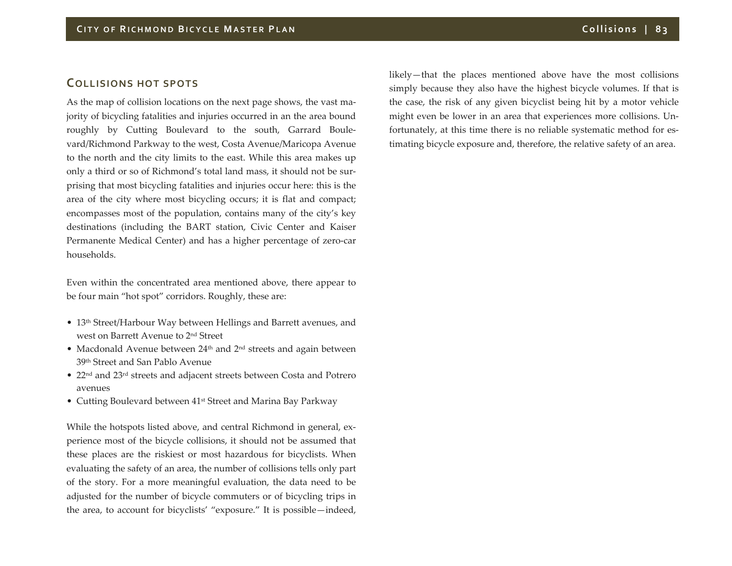# **COLLISIONS HOT SPOTS**

As the map of collision locations on the next page shows, the vast ma‐ jority of bicycling fatalities and injuries occurred in an the area bound roughly by Cutting Boulevard to the south, Garrard Boule‐ vard/Richmond Parkway to the west, Costa Avenue/Maricopa Avenue to the north and the city limits to the east. While this area makes up only <sup>a</sup> third or so of Richmond's total land mass, it should not be sur‐ prising that most bicycling fatalities and injuries occur here: this is the area of the city where most bicycling occurs; it is flat and compact; encompasses most of the population, contains many of the city's key destinations (including the BART station, Civic Center and Kaiser Permanente Medical Center) and has <sup>a</sup> higher percentage of zero‐car households.

Even within the concentrated area mentioned above, there appear to be four main "hot spot" corridors. Roughly, these are:

- 13<sup>th</sup> Street/Harbour Way between Hellings and Barrett avenues, and west on Barrett Avenue to 2nd Street
- Macdonald Avenue between  $24<sup>th</sup>$  and  $2<sup>nd</sup>$  streets and again between 39th Street and San Pablo Avenue
- 22<sup>nd</sup> and 23<sup>rd</sup> streets and adjacent streets between Costa and Potrero avenues
- Cutting Boulevard between 41<sup>st</sup> Street and Marina Bay Parkway

While the hotspots listed above, and central Richmond in general, ex‐ perience most of the bicycle collisions, it should not be assumed that these places are the riskiest or most hazardous for bicyclists. When evaluating the safety of an area, the number of collisions tells only par<sup>t</sup> of the story. For <sup>a</sup> more meaningful evaluation, the data need to be adjusted for the number of bicycle commuters or of bicycling trips in the area, to account for bicyclists' "exposure." It is possible—indeed,

likely—that the places mentioned above have the most collisions simply because they also have the highest bicycle volumes. If that is the case, the risk of any given bicyclist being hit by <sup>a</sup> motor vehicle might even be lower in an area that experiences more collisions. Un‐ fortunately, at this time there is no reliable systematic method for estimating bicycle exposure and, therefore, the relative safety of an area.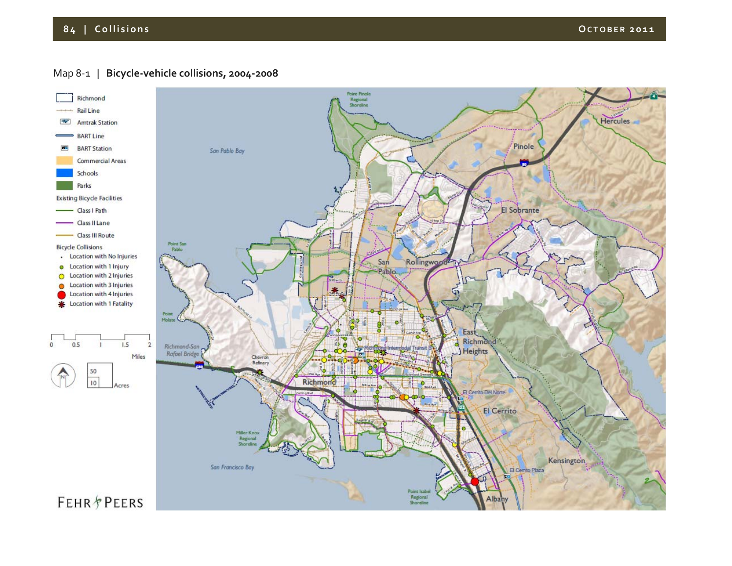# **8 4 | Collisions OCTOBER <sup>2011</sup>**

# Map 8‐<sup>1</sup> | **Bicycle‐vehicle collisions, 2004‐2008**

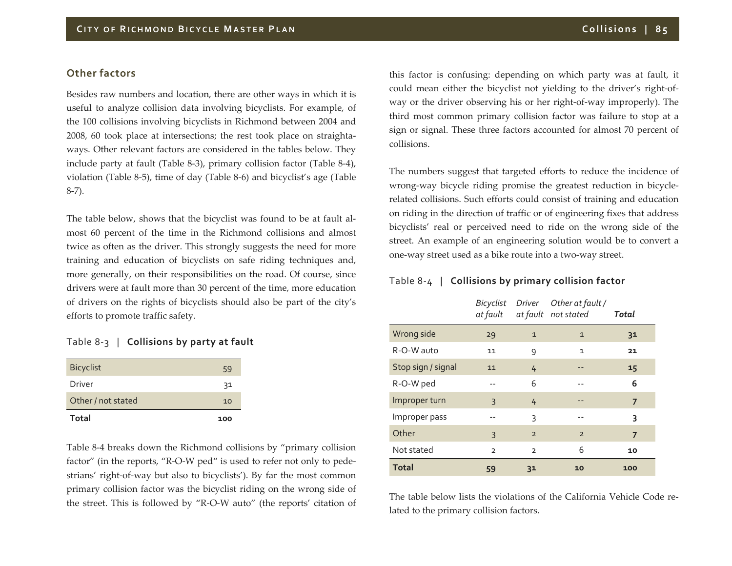#### **Other factors**

Besides raw numbers and location, there are other ways in which it is useful to analyze collision data involving bicyclists. For example, of the 100 collisions involving bicyclists in Richmond between 2004 and 2008, 60 took place at intersections; the rest took place on straightaways. Other relevant factors are considered in the tables below. They include party at fault (Table <sup>8</sup>‐3), primary collision factor (Table <sup>8</sup>‐4), violation (Table <sup>8</sup>‐5), time of day (Table <sup>8</sup>‐6) and bicyclist's age (Table 8‐7).

The table below, shows that the bicyclist was found to be at fault al‐ most 60 percen<sup>t</sup> of the time in the Richmond collisions and almost twice as often as the driver. This strongly suggests the need for more training and education of bicyclists on safe riding techniques and, more generally, on their responsibilities on the road. Of course, since drivers were at fault more than 30 percen<sup>t</sup> of the time, more education of drivers on the rights of bicyclists should also be par<sup>t</sup> of the city's efforts to promote traffic safety.

#### Table 8‐3 | **Collisions by party at fault**

| Total              | 100 |
|--------------------|-----|
| Other / not stated | 10  |
| Driver             | 31  |
| <b>Bicyclist</b>   | 59  |

Table 8‐4 breaks down the Richmond collisions by "primary collision factor" (in the reports, "R‐O‐W ped" is used to refer not only to pede‐ strians' right‐of‐way but also to bicyclists'). By far the most common primary collision factor was the bicyclist riding on the wrong side of the street. This is followed by "R‐O‐W auto" (the reports' citation of

this factor is confusing: depending on which party was at fault, it could mean either the bicyclist not yielding to the driver's right‐of‐ way or the driver observing his or her right‐of‐way improperly). The third most common primary collision factor was failure to stop at <sup>a</sup> sign or signal. These three factors accounted for almost 70 percen<sup>t</sup> of collisions.

The numbers sugges<sup>t</sup> that targeted efforts to reduce the incidence of wrong-way bicycle riding promise the greatest reduction in bicyclerelated collisions. Such efforts could consist of training and education on riding in the direction of traffic or of engineering fixes that address bicyclists' real or perceived need to ride on the wrong side of the street. An example of an engineering solution would be to convert <sup>a</sup> one‐way street used as <sup>a</sup> bike route into <sup>a</sup> two‐way street.

#### Table 8‐<sup>4</sup> | **Collisions by primary collision factor**

|                    | at fault       |                | Bicyclist Driver Other at fault /<br>at fault not stated | Total          |  |
|--------------------|----------------|----------------|----------------------------------------------------------|----------------|--|
| Wrong side         | 29             | $\mathbf{1}$   | $\mathbf{1}$                                             | 3 <sup>1</sup> |  |
| R-O-W auto         | 11             | 9              | $\mathbf{1}$                                             | 21             |  |
| Stop sign / signal | 11             | 4              |                                                          | 15             |  |
| R-O-W ped          |                | 6              |                                                          | 6              |  |
| Improper turn      | 3              | 4              |                                                          | $\overline{7}$ |  |
| Improper pass      |                | 3              | --                                                       | 3              |  |
| Other              | 3              | $\overline{2}$ | $\overline{2}$                                           | 7              |  |
| Not stated         | $\overline{2}$ | $\overline{2}$ | 6                                                        | 10             |  |
| <b>Total</b>       | 59             | 3 <sup>1</sup> | 10                                                       | 100            |  |

The table below lists the violations of the California Vehicle Code re‐ lated to the primary collision factors.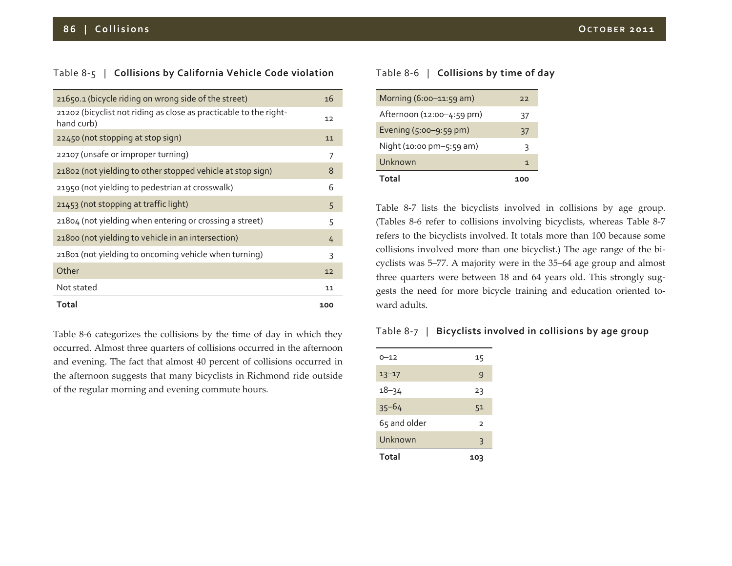### Table 8‐5 | **Collisions by California Vehicle Code violation**

| 21650.1 (bicycle riding on wrong side of the street)                            | 16  |
|---------------------------------------------------------------------------------|-----|
| 21202 (bicyclist not riding as close as practicable to the right-<br>hand curb) | 12  |
| 22450 (not stopping at stop sign)                                               | 11  |
| 22107 (unsafe or improper turning)                                              | 7   |
| 21802 (not yielding to other stopped vehicle at stop sign)                      | 8   |
| 21950 (not yielding to pedestrian at crosswalk)                                 | 6   |
| 21453 (not stopping at traffic light)                                           | 5   |
| 21804 (not yielding when entering or crossing a street)                         | 5   |
| 21800 (not yielding to vehicle in an intersection)                              | 4   |
| 21801 (not yielding to oncoming vehicle when turning)                           | 3   |
| Other                                                                           | 12  |
| Not stated                                                                      | 11  |
| Total                                                                           | 100 |

Table 8‐6 categorizes the collisions by the time of day in which they occurred. Almost three quarters of collisions occurred in the afternoon and evening. The fact that almost 40 percen<sup>t</sup> of collisions occurred in the afternoon suggests that many bicyclists in Richmond ride outside of the regular morning and evening commute hours.

#### Table 8‐6 | **Collisions by time of day**

| Total                     | 100 |
|---------------------------|-----|
| Unknown                   | 1   |
| Night (10:00 pm-5:59 am)  | 3   |
| Evening (5:00-9:59 pm)    | 37  |
| Afternoon (12:00-4:59 pm) | 37  |
| Morning $(6:00-11:59$ am) | 22  |

Table 8‐7 lists the bicyclists involved in collisions by age group. (Tables <sup>8</sup>‐6 refer to collisions involving bicyclists, whereas Table <sup>8</sup>‐<sup>7</sup> refers to the bicyclists involved. It totals more than 100 because some collisions involved more than one bicyclist.) The age range of the bi‐ cyclists was 5–77. A majority were in the 35–64 age group and almost three quarters were between 18 and 64 years old. This strongly sug‐ gests the need for more bicycle training and education oriented toward adults.

#### Table 8‐<sup>7</sup> | **Bicyclists involved in collisions by age group**

| Unknown      | 3              |
|--------------|----------------|
| 65 and older | $\overline{2}$ |
| $35 - 64$    | 51             |
| $18 - 34$    | 23             |
| $13 - 17$    | 9              |
| $0 - 12$     | 15             |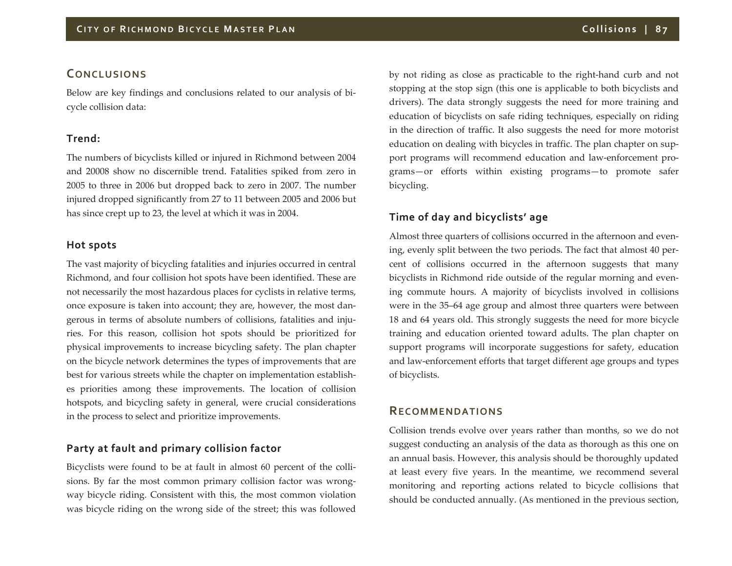# **CONCLUSIONS**

Below are key findings and conclusions related to our analysis of bi‐ cycle collision data:

#### **Trend:**

The numbers of bicyclists killed or injured in Richmond between 2004 and 20008 show no discernible trend. Fatalities spiked from zero in 2005 to three in 2006 but dropped back to zero in 2007. The number injured dropped significantly from <sup>27</sup> to <sup>11</sup> between 2005 and 2006 but has since crep<sup>t</sup> up to 23, the level at which it was in 2004.

#### **Hot spots**

The vast majority of bicycling fatalities and injuries occurred in central Richmond, and four collision hot spots have been identified. These are not necessarily the most hazardous places for cyclists in relative terms, once exposure is taken into account; they are, however, the most dan‐ gerous in terms of absolute numbers of collisions, fatalities and injuries. For this reason, collision hot spots should be prioritized for physical improvements to increase bicycling safety. The plan chapter on the bicycle network determines the types of improvements that are best for various streets while the chapter on implementation establish‐ es priorities among these improvements. The location of collision hotspots, and bicycling safety in general, were crucial considerations in the process to select and prioritize improvements.

# **Party at fault and primary collision factor**

Bicyclists were found to be at fault in almost 60 percent of the collisions. By far the most common primary collision factor was wrong‐ way bicycle riding. Consistent with this, the most common violation was bicycle riding on the wrong side of the street; this was followed

by not riding as close as practicable to the right‐hand curb and not stopping at the stop sign (this one is applicable to both bicyclists and drivers). The data strongly suggests the need for more training and education of bicyclists on safe riding techniques, especially on riding in the direction of traffic. It also suggests the need for more motorist education on dealing with bicycles in traffic. The plan chapter on sup‐ port programs will recommend education and law-enforcement programs—or efforts within existing programs—to promote safer bicycling.

# **Time of day and bicyclists' age**

Almost three quarters of collisions occurred in the afternoon and even‐ ing, evenly split between the two periods. The fact that almost 40 percent of collisions occurred in the afternoon suggests that many bicyclists in Richmond ride outside of the regular morning and evening commute hours. A majority of bicyclists involved in collisions were in the 35–64 age group and almost three quarters were between 18 and 64 years old. This strongly suggests the need for more bicycle training and education oriented toward adults. The plan chapter on suppor<sup>t</sup> programs will incorporate suggestions for safety, education and law‐enforcement efforts that target different age groups and types of bicyclists.

# **RECOMMENDATIONS**

Collision trends evolve over years rather than months, so we do not sugges<sup>t</sup> conducting an analysis of the data as thorough as this one on an annual basis. However, this analysis should be thoroughly updated at least every five years. In the meantime, we recommend several monitoring and reporting actions related to bicycle collisions that should be conducted annually. (As mentioned in the previous section,